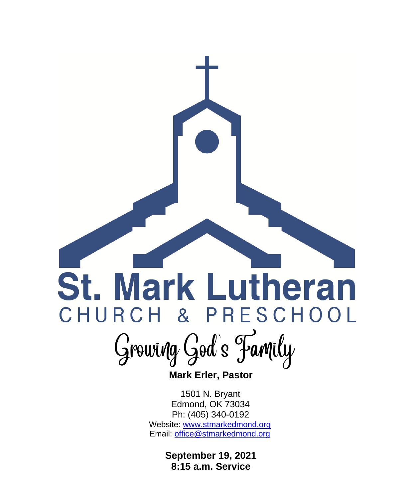## **St. Mark Lutheran** CHURCH & PRESCHOOL

Growing God's Family

 **Mark Erler, Pastor**

 1501 N. Bryant Edmond, OK 73034 Ph: (405) 340-0192 Website: [www.stmarkedmond.org](http://www.stmarkedmond.org/) Email: [office@stmarkedmond.org](mailto:office@stmarkedmond.org)

> **September 19, 2021 8:15 a.m. Service**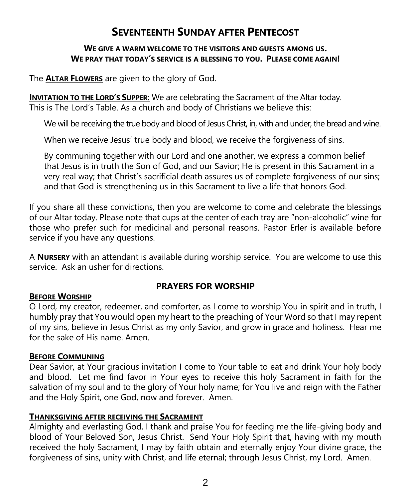## **SEVENTEENTH SUNDAY AFTER PENTECOST**

#### **WE GIVE A WARM WELCOME TO THE VISITORS AND GUESTS AMONG US. WE PRAY THAT TODAY'S SERVICE IS A BLESSING TO YOU. PLEASE COME AGAIN!**

The **ALTAR FLOWERS** are given to the glory of God.

**INVITATION TO THE LORD'S SUPPER:** We are celebrating the Sacrament of the Altar today. This is The Lord's Table. As a church and body of Christians we believe this:

We will be receiving the true body and blood of Jesus Christ, in, with and under, the bread and wine.

When we receive Jesus' true body and blood, we receive the forgiveness of sins.

By communing together with our Lord and one another, we express a common belief that Jesus is in truth the Son of God, and our Savior; He is present in this Sacrament in a very real way; that Christ's sacrificial death assures us of complete forgiveness of our sins; and that God is strengthening us in this Sacrament to live a life that honors God.

If you share all these convictions, then you are welcome to come and celebrate the blessings of our Altar today. Please note that cups at the center of each tray are "non-alcoholic" wine for those who prefer such for medicinal and personal reasons. Pastor Erler is available before service if you have any questions.

A **NURSERY** with an attendant is available during worship service. You are welcome to use this service. Ask an usher for directions.

#### **PRAYERS FOR WORSHIP**

#### **BEFORE WORSHIP**

O Lord, my creator, redeemer, and comforter, as I come to worship You in spirit and in truth, I humbly pray that You would open my heart to the preaching of Your Word so that I may repent of my sins, believe in Jesus Christ as my only Savior, and grow in grace and holiness. Hear me for the sake of His name. Amen.

#### **BEFORE COMMUNING**

Dear Savior, at Your gracious invitation I come to Your table to eat and drink Your holy body and blood. Let me find favor in Your eyes to receive this holy Sacrament in faith for the salvation of my soul and to the glory of Your holy name; for You live and reign with the Father and the Holy Spirit, one God, now and forever. Amen.

#### **THANKSGIVING AFTER RECEIVING THE SACRAMENT**

Almighty and everlasting God, I thank and praise You for feeding me the life-giving body and blood of Your Beloved Son, Jesus Christ. Send Your Holy Spirit that, having with my mouth received the holy Sacrament, I may by faith obtain and eternally enjoy Your divine grace, the forgiveness of sins, unity with Christ, and life eternal; through Jesus Christ, my Lord. Amen.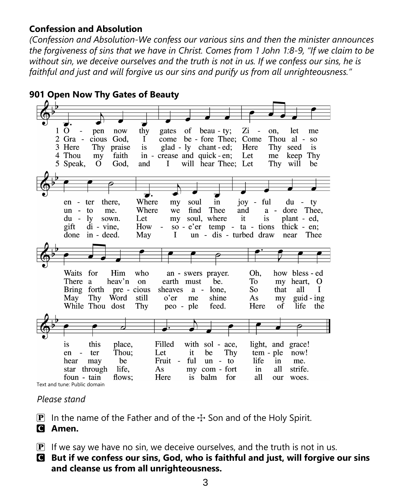#### **Confession and Absolution**

*(Confession and Absolution-We confess our various sins and then the minister announces the forgiveness of sins that we have in Christ. Comes from 1 John 1:8-9, "If we claim to be without sin, we deceive ourselves and the truth is not in us. If we confess our sins, he is faithful and just and will forgive us our sins and purify us from all unrighteousness."*

|              |                                          |                 |                         |       | 901 Open Now Thy Gates of Beauty |           |                                                       |     |                                    |                |                |             |
|--------------|------------------------------------------|-----------------|-------------------------|-------|----------------------------------|-----------|-------------------------------------------------------|-----|------------------------------------|----------------|----------------|-------------|
|              |                                          |                 |                         |       |                                  |           |                                                       |     |                                    |                |                |             |
|              |                                          |                 |                         |       |                                  |           |                                                       |     |                                    |                |                |             |
|              |                                          |                 |                         |       |                                  |           |                                                       |     |                                    |                |                |             |
| $\mathbf{1}$ | $\Omega$<br>$\qquad \qquad \blacksquare$ | pen             | now                     | thy   | gates                            | of        | beau - ty;                                            |     | Zi<br>$\qquad \qquad \blacksquare$ | on,            | let            | me          |
|              | Gra -                                    | cious           | God.                    | I     | come                             |           | be - fore Thee: Come                                  |     |                                    | Thou al -      |                | <b>SO</b>   |
|              | Here                                     | Thy             | praise                  | is    |                                  |           | $\text{glad} - \text{ly } \text{chant } - \text{ed};$ |     | Here                               | Thy            | seed           | is          |
|              | 4 Thou                                   | my              | faith                   |       | in - crease and quick - en;      |           |                                                       |     | Let                                | me             | keep           | Thy         |
|              | 5 Speak,                                 | $\Omega$        | God,                    | and   | $\bf{I}$                         |           | will hear Thee; Let                                   |     |                                    | Thy            | will           | be          |
|              |                                          |                 |                         |       |                                  |           |                                                       |     |                                    |                |                |             |
|              |                                          |                 |                         |       |                                  |           |                                                       |     |                                    |                |                |             |
|              |                                          |                 |                         |       |                                  |           |                                                       |     |                                    |                |                |             |
|              |                                          |                 |                         |       |                                  |           |                                                       |     |                                    |                |                |             |
|              | en<br>$\blacksquare$                     | ter             | there,                  | Where | my                               | soul      | in                                                    |     | ful<br>$10V -$                     |                | du             | ty          |
|              | un<br>$\sim$                             | to              | me.                     | Where | we                               | find      | Thee                                                  | and |                                    | a -            | dore Thee,     |             |
|              | du -                                     | ly.             | sown.                   | Let   | my                               |           | soul, where                                           | it  | is.                                |                | plant - ed.    |             |
|              | gift                                     | $di - vine$ ,   |                         | How   | $\Box$                           |           | so - $e^{\prime}$ er temp - ta - tions                |     |                                    |                | thick $-$ en:  |             |
|              | done                                     | in - deed.      |                         | May   | I                                |           | un - dis - turbed draw                                |     |                                    |                | near           | Thee        |
|              |                                          |                 |                         |       |                                  |           |                                                       |     |                                    |                |                |             |
|              |                                          |                 |                         |       |                                  |           |                                                       |     |                                    |                |                |             |
|              |                                          |                 |                         |       |                                  |           |                                                       |     |                                    |                |                |             |
|              |                                          |                 |                         |       |                                  |           |                                                       |     |                                    |                |                |             |
|              | Waits                                    | for             | Him                     | who   |                                  |           | an - swers prayer.                                    |     | Oh.                                |                | how bless - ed |             |
|              | There                                    | a               | heav'n                  | on    | earth must                       |           | be.                                                   |     | To                                 | m <sub>V</sub> | heart,         | $\mathbf O$ |
|              |                                          |                 | Bring forth pre - cious |       | sheaves                          | $a -$     | lone.                                                 |     | So                                 | that           | all            | L           |
|              | May                                      | Thy             | Word                    | still | $o'$ er                          | me        | shine                                                 |     | As                                 | m <sub>V</sub> | $guid - ing$   |             |
|              |                                          | While Thou dost |                         | Thy   | peo - ple                        |           | feed.                                                 |     | Here                               | $\alpha$ f     | life           | the         |
|              |                                          |                 |                         |       |                                  |           |                                                       |     |                                    |                |                |             |
|              |                                          |                 |                         |       |                                  |           |                                                       |     |                                    |                |                |             |
|              |                                          |                 |                         |       |                                  |           |                                                       |     |                                    |                |                |             |
|              |                                          |                 |                         |       |                                  |           |                                                       |     |                                    |                |                |             |
|              | <i>is</i>                                | this            | place,                  |       | Filled                           |           | with sol - ace,                                       |     | light, and                         |                | grace!         |             |
|              | en                                       | ter             | Thou:                   |       | Let                              | it        | be                                                    | Thy | tem - ple                          |                | now!           |             |
|              | hear                                     | may             | be                      |       | Fruit<br>$\sim$                  | ful       | $un -$                                                | to  | life                               | in             | me.            |             |
|              |                                          |                 |                         |       |                                  |           |                                                       |     |                                    |                |                |             |
|              | star                                     | through         | life,                   |       | As                               |           | my com - fort                                         |     | in                                 | all            | strife.        |             |
|              | foun - tain                              |                 | flows:                  |       | Here                             | <i>is</i> | balm                                                  | for | all                                | our            | woes.          |             |
|              | Text and tune: Public domain             |                 |                         |       |                                  |           |                                                       |     |                                    |                |                |             |

#### *Please stand*

**P** In the name of the Father and of the  $\pm$  Son and of the Holy Spirit.

### C **Amen.**

- $\mathbf{P}$  If we say we have no sin, we deceive ourselves, and the truth is not in us.
- C **But if we confess our sins, God, who is faithful and just, will forgive our sins and cleanse us from all unrighteousness.**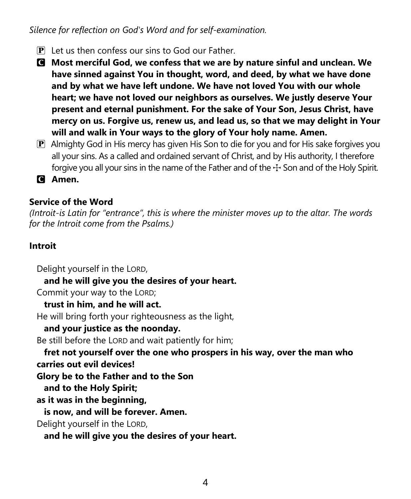*Silence for reflection on God's Word and for self-examination.*

- $\mathbf{P}$  Let us then confess our sins to God our Father.
- C **Most merciful God, we confess that we are by nature sinful and unclean. We have sinned against You in thought, word, and deed, by what we have done and by what we have left undone. We have not loved You with our whole heart; we have not loved our neighbors as ourselves. We justly deserve Your present and eternal punishment. For the sake of Your Son, Jesus Christ, have mercy on us. Forgive us, renew us, and lead us, so that we may delight in Your will and walk in Your ways to the glory of Your holy name. Amen.**
- P Almighty God in His mercy has given His Son to die for you and for His sake forgives you all your sins. As a called and ordained servant of Christ, and by His authority, I therefore forgive you all your sins in the name of the Father and of the  $+$  Son and of the Holy Spirit.
- C **Amen.**

#### **Service of the Word**

*(Introit-is Latin for "entrance", this is where the minister moves up to the altar. The words for the Introit come from the Psalms.)*

#### **Introit**

Delight yourself in the LORD,

**and he will give you the desires of your heart.**

Commit your way to the LORD;

**trust in him, and he will act.**

He will bring forth your righteousness as the light,

#### **and your justice as the noonday.**

Be still before the LORD and wait patiently for him;

**fret not yourself over the one who prospers in his way, over the man who carries out evil devices!**

**Glory be to the Father and to the Son**

**and to the Holy Spirit;**

**as it was in the beginning,**

**is now, and will be forever. Amen.**

Delight yourself in the LORD,

**and he will give you the desires of your heart.**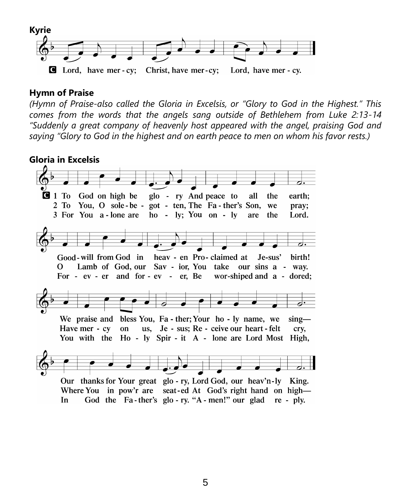

#### **Hymn of Praise**

*(Hymn of Praise-also called the Gloria in Excelsis, or "Glory to God in the Highest." This comes from the words that the angels sang outside of Bethlehem from Luke 2:13-14 "Suddenly a great company of heavenly host appeared with the angel, praising God and saying "Glory to God in the highest and on earth peace to men on whom his favor rests.)*

**Gloria in Excelsis**

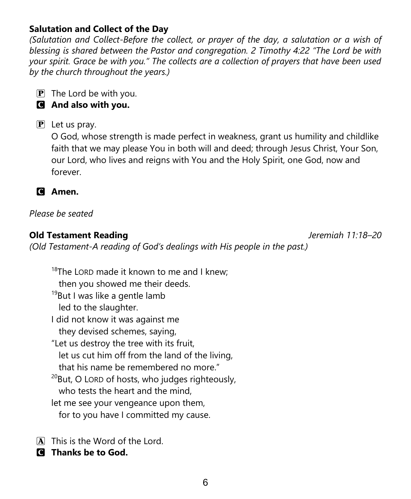#### **Salutation and Collect of the Day**

*(Salutation and Collect-Before the collect, or prayer of the day, a salutation or a wish of blessing is shared between the Pastor and congregation. 2 Timothy 4:22 "The Lord be with your spirit. Grace be with you." The collects are a collection of prayers that have been used by the church throughout the years.)*

 $\overline{P}$  The Lord be with you.

#### C **And also with you.**

#### $\mathbf{P}$  Let us pray.

O God, whose strength is made perfect in weakness, grant us humility and childlike faith that we may please You in both will and deed; through Jesus Christ, Your Son, our Lord, who lives and reigns with You and the Holy Spirit, one God, now and forever.



#### *Please be seated*

#### **Old Testament Reading** *Jeremiah 11:18–20*

*(Old Testament-A reading of God's dealings with His people in the past.)*

 $18$ The LORD made it known to me and I knew; then you showed me their deeds. <sup>19</sup>But I was like a gentle lamb led to the slaughter. I did not know it was against me they devised schemes, saying, "Let us destroy the tree with its fruit, let us cut him off from the land of the living, that his name be remembered no more."  $^{20}$ But, O LORD of hosts, who judges righteously, who tests the heart and the mind, let me see your vengeance upon them, for to you have I committed my cause.

A This is the Word of the Lord.

C **Thanks be to God.**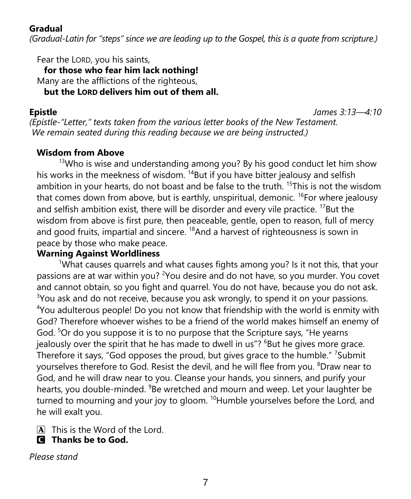#### **Gradual**

*(Gradual-Latin for "steps" since we are leading up to the Gospel, this is a quote from scripture.)*

Fear the LORD, you his saints,

**for those who fear him lack nothing!** Many are the afflictions of the righteous, **but the LORD delivers him out of them all.**

**Epistle** *James 3:13—4:10*

*(Epistle-"Letter," texts taken from the various letter books of the New Testament. We remain seated during this reading because we are being instructed.)*

#### **Wisdom from Above**

 $13$ Who is wise and understanding among you? By his good conduct let him show his works in the meekness of wisdom. <sup>14</sup>But if you have bitter jealousy and selfish ambition in your hearts, do not boast and be false to the truth. <sup>15</sup>This is not the wisdom that comes down from above, but is earthly, unspiritual, demonic. <sup>16</sup>For where jealousy and selfish ambition exist, there will be disorder and every vile practice. <sup>17</sup>But the wisdom from above is first pure, then peaceable, gentle, open to reason, full of mercy and good fruits, impartial and sincere.  $18$ And a harvest of righteousness is sown in peace by those who make peace.

#### **Warning Against Worldliness**

<sup>1</sup>What causes quarrels and what causes fights among you? Is it not this, that your passions are at war within you? <sup>2</sup>You desire and do not have, so you murder. You covet and cannot obtain, so you fight and quarrel. You do not have, because you do not ask.  $3$ You ask and do not receive, because you ask wrongly, to spend it on your passions. <sup>4</sup>You adulterous people! Do you not know that friendship with the world is enmity with God? Therefore whoever wishes to be a friend of the world makes himself an enemy of God. <sup>5</sup>Or do you suppose it is to no purpose that the Scripture says, "He yearns jealously over the spirit that he has made to dwell in us"?  ${}^{6}$ But he gives more grace. Therefore it says, "God opposes the proud, but gives grace to the humble." <sup>7</sup>Submit yourselves therefore to God. Resist the devil, and he will flee from you. <sup>8</sup>Draw near to God, and he will draw near to you. Cleanse your hands, you sinners, and purify your hearts, you double-minded. <sup>9</sup>Be wretched and mourn and weep. Let your laughter be turned to mourning and your joy to gloom.  $^{10}$ Humble yourselves before the Lord, and he will exalt you.

A This is the Word of the Lord.

C **Thanks be to God.**

*Please stand*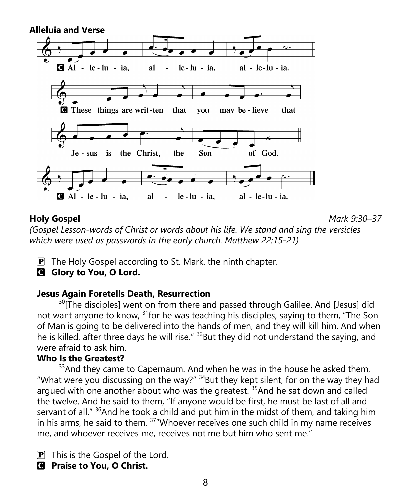

**Holy Gospel** *Mark 9:30–37*

*(Gospel Lesson-words of Christ or words about his life. We stand and sing the versicles which were used as passwords in the early church. Matthew 22:15-21)*

 $\mathbf{P}$  The Holy Gospel according to St. Mark, the ninth chapter.

#### **G** Glory to You, O Lord.

#### **Jesus Again Foretells Death, Resurrection**

<sup>30</sup>[The disciples] went on from there and passed through Galilee. And [Jesus] did not want anyone to know, <sup>31</sup> for he was teaching his disciples, saying to them, "The Son of Man is going to be delivered into the hands of men, and they will kill him. And when he is killed, after three days he will rise."  $32$ But they did not understand the saying, and were afraid to ask him.

#### **Who Is the Greatest?**

 $33$ And they came to Capernaum. And when he was in the house he asked them, "What were you discussing on the way?"  $34$ But they kept silent, for on the way they had argued with one another about who was the greatest.  $35$  And he sat down and called the twelve. And he said to them, "If anyone would be first, he must be last of all and servant of all."  $36$ And he took a child and put him in the midst of them, and taking him in his arms, he said to them,  $37$  "Whoever receives one such child in my name receives me, and whoever receives me, receives not me but him who sent me."

 $\boxed{\mathbf{P}}$  This is the Gospel of the Lord.

#### C **Praise to You, O Christ.**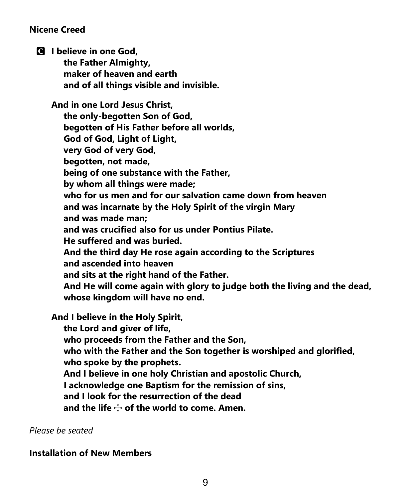#### **Nicene Creed**

C **I believe in one God,**

 **the Father Almighty, maker of heaven and earth and of all things visible and invisible.**

**And in one Lord Jesus Christ, the only-begotten Son of God, begotten of His Father before all worlds, God of God, Light of Light, very God of very God, begotten, not made, being of one substance with the Father, by whom all things were made; who for us men and for our salvation came down from heaven and was incarnate by the Holy Spirit of the virgin Mary and was made man; and was crucified also for us under Pontius Pilate. He suffered and was buried. And the third day He rose again according to the Scriptures and ascended into heaven and sits at the right hand of the Father. And He will come again with glory to judge both the living and the dead, whose kingdom will have no end.**

**And I believe in the Holy Spirit, the Lord and giver of life, who proceeds from the Father and the Son, who with the Father and the Son together is worshiped and glorified, who spoke by the prophets. And I believe in one holy Christian and apostolic Church, I acknowledge one Baptism for the remission of sins, and I look for the resurrection of the dead and the life** T **of the world to come. Amen.**

*Please be seated*

#### **Installation of New Members**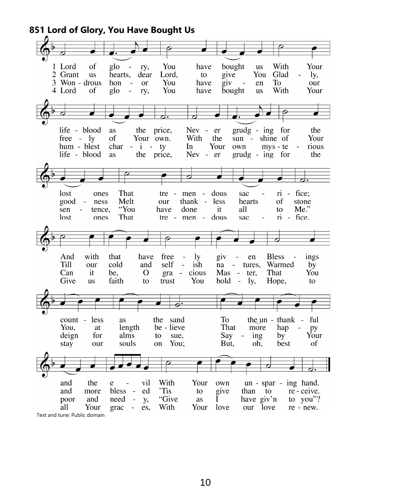**851 Lord of Glory, You Have Bought Us**

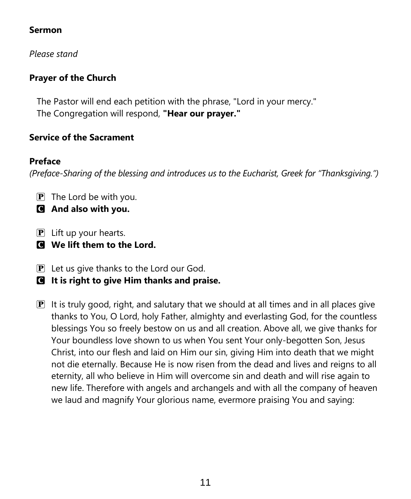#### **Sermon**

*Please stand*

#### **Prayer of the Church**

The Pastor will end each petition with the phrase, "Lord in your mercy." The Congregation will respond, **"Hear our prayer."**

#### **Service of the Sacrament**

#### **Preface**

*(Preface-Sharing of the blessing and introduces us to the Eucharist, Greek for "Thanksgiving.")*

- $\mathbf{P}$  The Lord be with you.
- C **And also with you.**
- $\mathbf{P}$  Lift up your hearts.
- C **We lift them to the Lord.**
- $\mathbf{P}$  Let us give thanks to the Lord our God.
- C **It is right to give Him thanks and praise.**
- $\mathbf{P}$  It is truly good, right, and salutary that we should at all times and in all places give thanks to You, O Lord, holy Father, almighty and everlasting God, for the countless blessings You so freely bestow on us and all creation. Above all, we give thanks for Your boundless love shown to us when You sent Your only-begotten Son, Jesus Christ, into our flesh and laid on Him our sin, giving Him into death that we might not die eternally. Because He is now risen from the dead and lives and reigns to all eternity, all who believe in Him will overcome sin and death and will rise again to new life. Therefore with angels and archangels and with all the company of heaven we laud and magnify Your glorious name, evermore praising You and saying: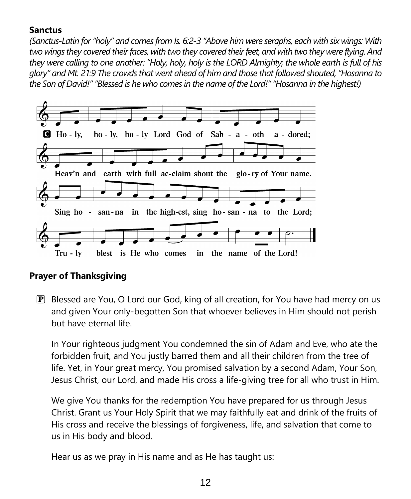#### **Sanctus**

*(Sanctus-Latin for "holy" and comes from Is. 6:2-3 "Above him were seraphs, each with six wings: With two wings they covered their faces, with two they covered their feet, and with two they were flying. And they were calling to one another: "Holy, holy, holy is the LORD Almighty; the whole earth is full of his glory" and Mt. 21:9 The crowds that went ahead of him and those that followed shouted, "Hosanna to the Son of David!" "Blessed is he who comes in the name of the Lord!" "Hosanna in the highest!)*



#### **Prayer of Thanksgiving**

 $\mathbb{P}$  Blessed are You, O Lord our God, king of all creation, for You have had mercy on us and given Your only-begotten Son that whoever believes in Him should not perish but have eternal life.

In Your righteous judgment You condemned the sin of Adam and Eve, who ate the forbidden fruit, and You justly barred them and all their children from the tree of life. Yet, in Your great mercy, You promised salvation by a second Adam, Your Son, Jesus Christ, our Lord, and made His cross a life-giving tree for all who trust in Him.

We give You thanks for the redemption You have prepared for us through Jesus Christ. Grant us Your Holy Spirit that we may faithfully eat and drink of the fruits of His cross and receive the blessings of forgiveness, life, and salvation that come to us in His body and blood.

Hear us as we pray in His name and as He has taught us: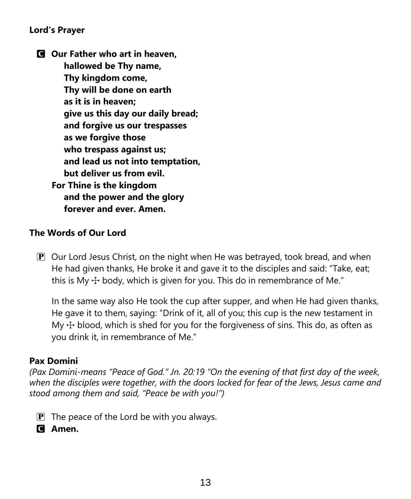#### **Lord's Prayer**

C **Our Father who art in heaven, hallowed be Thy name, Thy kingdom come, Thy will be done on earth as it is in heaven; give us this day our daily bread; and forgive us our trespasses as we forgive those who trespass against us; and lead us not into temptation, but deliver us from evil. For Thine is the kingdom and the power and the glory forever and ever. Amen.**

#### **The Words of Our Lord**

 $\mathbf{P}$  Our Lord Jesus Christ, on the night when He was betrayed, took bread, and when He had given thanks, He broke it and gave it to the disciples and said: "Take, eat; this is My  $\pm$  body, which is given for you. This do in remembrance of Me."

In the same way also He took the cup after supper, and when He had given thanks, He gave it to them, saying: "Drink of it, all of you; this cup is the new testament in My  $\pm$  blood, which is shed for you for the forgiveness of sins. This do, as often as you drink it, in remembrance of Me."

#### **Pax Domini**

*(Pax Domini-means "Peace of God." Jn. 20:19 "On the evening of that first day of the week, when the disciples were together, with the doors locked for fear of the Jews, Jesus came and stood among them and said, "Peace be with you!")*

- $\mathbf{P}$  The peace of the Lord be with you always.
- C **Amen.**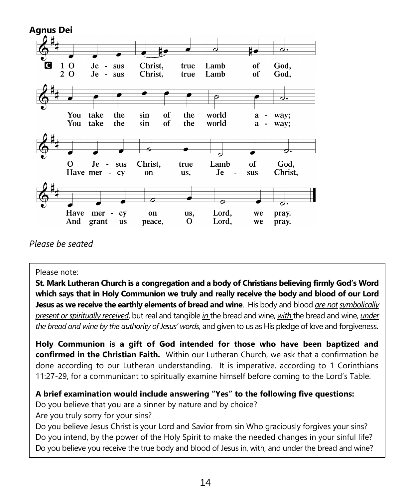

*Please be seated*

#### Please note:

**St. Mark Lutheran Church is a congregation and a body of Christians believing firmly God's Word which says that in Holy Communion we truly and really receive the body and blood of our Lord Jesus as we receive the earthly elements of bread and wine**. His body and blood *are not symbolically present or spiritually received*, but real and tangible *in* the bread and wine, *with* the bread and wine, *under the bread and wine by the authority of Jesus' words,* and given to us as His pledge of love and forgiveness.

**Holy Communion is a gift of God intended for those who have been baptized and confirmed in the Christian Faith.** Within our Lutheran Church, we ask that a confirmation be done according to our Lutheran understanding. It is imperative, according to 1 Corinthians 11:27-29, for a communicant to spiritually examine himself before coming to the Lord's Table.

#### **A brief examination would include answering "Yes" to the following five questions:**

Do you believe that you are a sinner by nature and by choice?

Are you truly sorry for your sins?

Do you believe Jesus Christ is your Lord and Savior from sin Who graciously forgives your sins? Do you intend, by the power of the Holy Spirit to make the needed changes in your sinful life? Do you believe you receive the true body and blood of Jesus in, with, and under the bread and wine?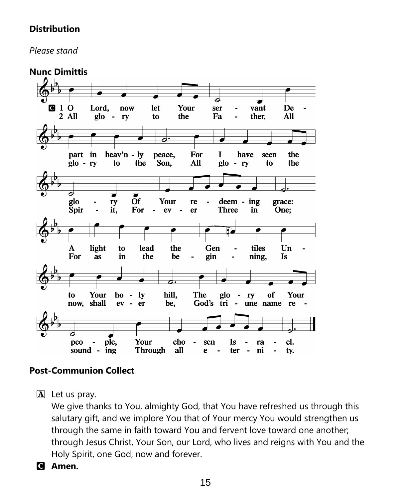#### **Distribution**

*Please stand*

**Nunc Dimittis**



#### **Post-Communion Collect**

 $\mathbf{A}$  Let us pray.

We give thanks to You, almighty God, that You have refreshed us through this salutary gift, and we implore You that of Your mercy You would strengthen us through the same in faith toward You and fervent love toward one another; through Jesus Christ, Your Son, our Lord, who lives and reigns with You and the Holy Spirit, one God, now and forever.

C **Amen.**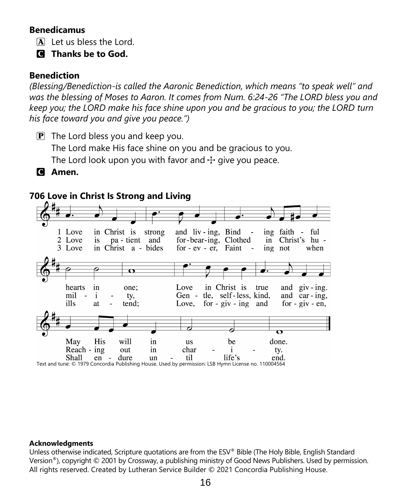#### **Benedicamus**

 $\overline{A}$  Let us bless the Lord.

C **Thanks be to God.**

#### **Benediction**

*(Blessing/Benediction-is called the Aaronic Benediction, which means "to speak well" and was the blessing of Moses to Aaron. It comes from Num. 6:24-26 "The LORD bless you and keep you; the LORD make his face shine upon you and be gracious to you; the LORD turn his face toward you and give you peace.")*

- $\mathbf{P}$  The Lord bless you and keep you. The Lord make His face shine on you and be gracious to you. The Lord look upon you with favor and  $\pm$  give you peace.
- C **Amen.**

#### **706 Love in Christ Is Strong and Living**



#### **Acknowledgments**

Unless otherwise indicated, Scripture quotations are from the ESV® Bible (The Holy Bible, English Standard Version®), copyright © 2001 by Crossway, a publishing ministry of Good News Publishers. Used by permission. All rights reserved. Created by Lutheran Service Builder © 2021 Concordia Publishing House.